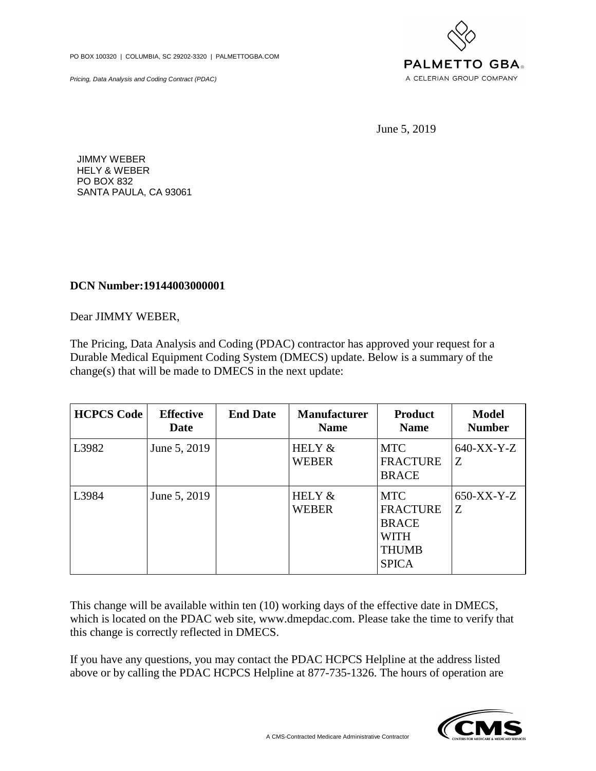PO BOX 100320 | COLUMBIA, SC 29202-3320 | PALMETTOGBA.COM

Pricing, Data Analysis and Coding Contract (PDAC)



June 5, 2019

JIMMY WEBER HELY & WEBER PO BOX 832 SANTA PAULA, CA 93061

## **DCN Number:19144003000001**

Dear JIMMY WEBER,

The Pricing, Data Analysis and Coding (PDAC) contractor has approved your request for a Durable Medical Equipment Coding System (DMECS) update. Below is a summary of the change(s) that will be made to DMECS in the next update:

| <b>HCPCS Code</b> | <b>Effective</b><br>Date | <b>End Date</b> | <b>Manufacturer</b><br><b>Name</b> | <b>Product</b><br><b>Name</b>                                                                | <b>Model</b><br><b>Number</b> |
|-------------------|--------------------------|-----------------|------------------------------------|----------------------------------------------------------------------------------------------|-------------------------------|
| L3982             | June 5, 2019             |                 | HELY &<br><b>WEBER</b>             | <b>MTC</b><br><b>FRACTURE</b><br><b>BRACE</b>                                                | 640-XX-Y-Z<br>Z               |
| L3984             | June 5, 2019             |                 | HELY &<br><b>WEBER</b>             | <b>MTC</b><br><b>FRACTURE</b><br><b>BRACE</b><br><b>WITH</b><br><b>THUMB</b><br><b>SPICA</b> | $650-XX-Y-Z$<br>Z             |

This change will be available within ten (10) working days of the effective date in DMECS, which is located on the PDAC web site, www.dmepdac.com. Please take the time to verify that this change is correctly reflected in DMECS.

If you have any questions, you may contact the PDAC HCPCS Helpline at the address listed above or by calling the PDAC HCPCS Helpline at 877-735-1326. The hours of operation are